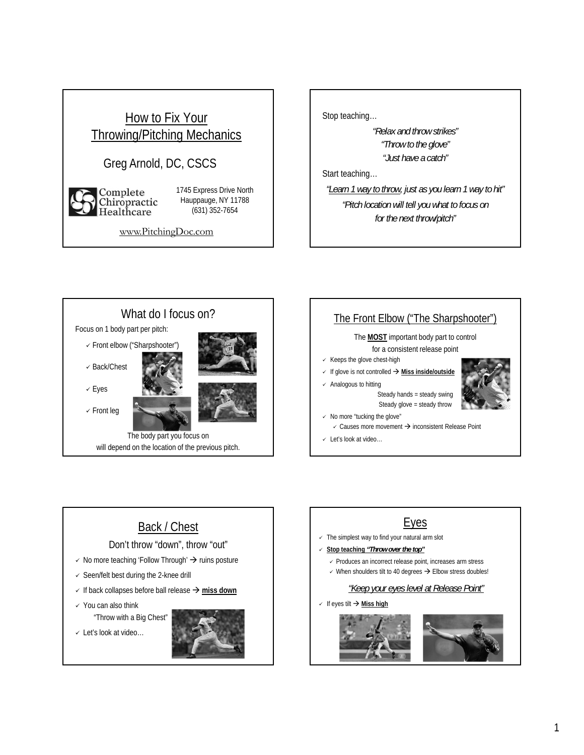#### How to Fix Your Throwing/Pitching Mechanics Greg Arnold, DC, CSCS 1745 Express Drive North Complete<br>Chiropractic Hauppauge, NY 11788 (631) 352-7654 Healtĥcare www.PitchingDoc.com

Stop teaching…

*"Relax and throw strikes" "Throw to the glove" "Just have a catch"*

Start teaching…

*"Learn 1 way to throw, just as you learn 1 way to hit" "Pitch location will tell you what to focus on for the next throw/pitch"*





## Back / Chest

#### Don't throw "down", throw "out"

- $\checkmark$  No more teaching 'Follow Through'  $\hat{\to}$  ruins posture
- $\checkmark$  Seen/felt best during the 2-knee drill
- $\checkmark$  If back collapses before ball release  $\hat\rightarrow$  miss down
- $\checkmark$  You can also think "Throw with a Big Chest"
- Let's look at video…



### Eyes

- $\checkmark$  The simplest way to find your natural arm slot
- **Stop teaching** *"Throw over the top"*
	- $\checkmark$  Produces an incorrect release point, increases arm stress
	- $\checkmark$  When shoulders tilt to 40 degrees  $\hat{\to}$  Elbow stress doubles!

#### *"Keep your eyes level at Release Point"*

If eyes tilt **Miss high**